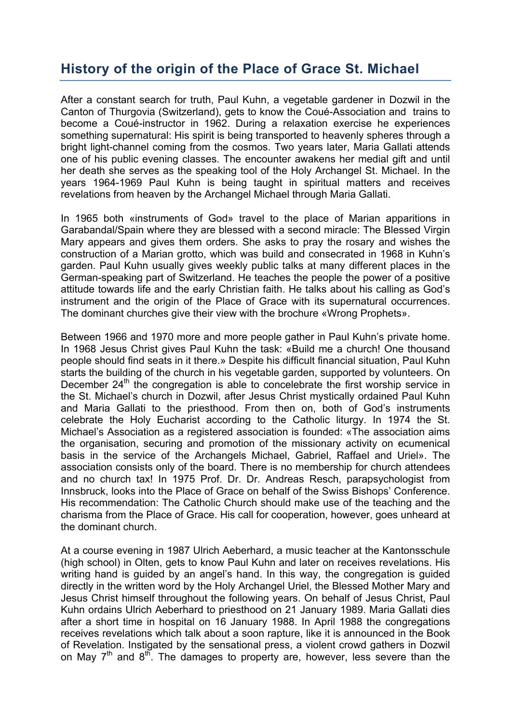## **History of the origin of the Place of Grace St. Michael**

After a constant search for truth, Paul Kuhn, a vegetable gardener in Dozwil in the Canton of Thurgovia (Switzerland), gets to know the Coué-Association and trains to become a Coué-instructor in 1962. During a relaxation exercise he experiences something supernatural: His spirit is being transported to heavenly spheres through a bright light-channel coming from the cosmos. Two years later, Maria Gallati attends one of his public evening classes. The encounter awakens her medial gift and until her death she serves as the speaking tool of the Holy Archangel St. Michael. In the years 1964-1969 Paul Kuhn is being taught in spiritual matters and receives revelations from heaven by the Archangel Michael through Maria Gallati.

In 1965 both «instruments of God» travel to the place of Marian apparitions in Garabandal/Spain where they are blessed with a second miracle: The Blessed Virgin Mary appears and gives them orders. She asks to pray the rosary and wishes the construction of a Marian grotto, which was build and consecrated in 1968 in Kuhn's garden. Paul Kuhn usually gives weekly public talks at many different places in the German-speaking part of Switzerland. He teaches the people the power of a positive attitude towards life and the early Christian faith. He talks about his calling as God's instrument and the origin of the Place of Grace with its supernatural occurrences. The dominant churches give their view with the brochure «Wrong Prophets».

Between 1966 and 1970 more and more people gather in Paul Kuhn's private home. In 1968 Jesus Christ gives Paul Kuhn the task: «Build me a church! One thousand people should find seats in it there.» Despite his difficult financial situation, Paul Kuhn starts the building of the church in his vegetable garden, supported by volunteers. On December  $24<sup>th</sup>$  the congregation is able to concelebrate the first worship service in the St. Michael's church in Dozwil, after Jesus Christ mystically ordained Paul Kuhn and Maria Gallati to the priesthood. From then on, both of God's instruments celebrate the Holy Eucharist according to the Catholic liturgy. In 1974 the St. Michael's Association as a registered association is founded: «The association aims the organisation, securing and promotion of the missionary activity on ecumenical basis in the service of the Archangels Michael, Gabriel, Raffael and Uriel». The association consists only of the board. There is no membership for church attendees and no church tax! In 1975 Prof. Dr. Dr. Andreas Resch, parapsychologist from Innsbruck, looks into the Place of Grace on behalf of the Swiss Bishops' Conference. His recommendation: The Catholic Church should make use of the teaching and the charisma from the Place of Grace. His call for cooperation, however, goes unheard at the dominant church.

At a course evening in 1987 Ulrich Aeberhard, a music teacher at the Kantonsschule (high school) in Olten, gets to know Paul Kuhn and later on receives revelations. His writing hand is guided by an angel's hand. In this way, the congregation is guided directly in the written word by the Holy Archangel Uriel, the Blessed Mother Mary and Jesus Christ himself throughout the following years. On behalf of Jesus Christ, Paul Kuhn ordains Ulrich Aeberhard to priesthood on 21 January 1989. Maria Gallati dies after a short time in hospital on 16 January 1988. In April 1988 the congregations receives revelations which talk about a soon rapture, like it is announced in the Book of Revelation. Instigated by the sensational press, a violent crowd gathers in Dozwil on May  $7<sup>th</sup>$  and  $8<sup>th</sup>$ . The damages to property are, however, less severe than the